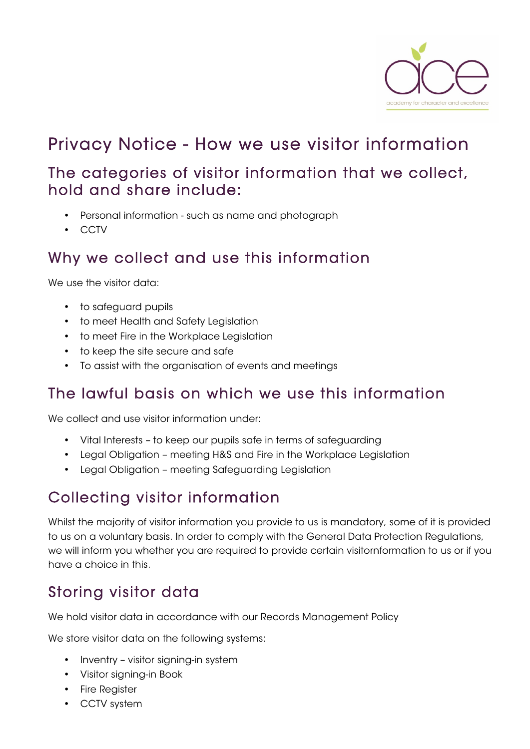

## Privacy Notice - How we use visitor information

#### The categories of visitor information that we collect, hold and share include:

- Personal information such as name and photograph
- CCTV

#### Why we collect and use this information

We use the visitor data:

- to safeguard pupils
- to meet Health and Safety Legislation
- to meet Fire in the Workplace Legislation
- to keep the site secure and safe
- To assist with the organisation of events and meetings

### The lawful basis on which we use this information

We collect and use visitor information under:

- Vital Interests to keep our pupils safe in terms of safeguarding
- Legal Obligation meeting H&S and Fire in the Workplace Legislation
- Legal Obligation meeting Safeguarding Legislation

### Collecting visitor information

Whilst the majority of visitor information you provide to us is mandatory, some of it is provided to us on a voluntary basis. In order to comply with the General Data Protection Regulations, we will inform you whether you are required to provide certain visitornformation to us or if you have a choice in this.

## Storing visitor data

We hold visitor data in accordance with our Records Management Policy

We store visitor data on the following systems:

- Inventry visitor signing-in system
- Visitor signing-in Book
- Fire Register
- CCTV system